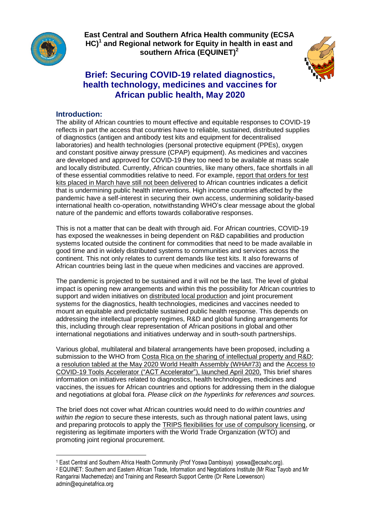

**East Central and Southern Africa Health community (ECSA HC)<sup>1</sup> and Regional network for Equity in health in east and southern Africa (EQUINET)<sup>2</sup>**



# **Brief: Securing COVID-19 related diagnostics, health technology, medicines and vaccines for African public health, May 2020**

## **Introduction:**

 $\overline{\phantom{a}}$ 

The ability of African countries to mount effective and equitable responses to COVID-19 reflects in part the access that countries have to reliable, sustained, distributed supplies of diagnostics (antigen and antibody test kits and equipment for decentralised laboratories) and health technologies (personal protective equipment (PPEs), oxygen and constant positive airway pressure (CPAP) equipment). As medicines and vaccines are developed and approved for COVID-19 they too need to be available at mass scale and locally distributed. Currently, African countries, like many others, face shortfalls in all of these essential commodities relative to need. For example, report that [orders](https://www.theguardian.com/global-development/2020/may/26/africa-concerned-over-lack-of-coronavirus-testing-kits) for test kits placed in March have still not been [delivered](https://www.theguardian.com/global-development/2020/may/26/africa-concerned-over-lack-of-coronavirus-testing-kits) to African countries indicates a deficit that is undermining public health interventions. High income countries affected by the pandemic have a self-interest in securing their own access, undermining solidarity-based international health co-operation, notwithstanding WHO's clear message about the global nature of the pandemic and efforts towards collaborative responses.

This is not a matter that can be dealt with through aid. For African countries, COVID-19 has exposed the weaknesses in being dependent on R&D capabilities and production systems located outside the continent for commodities that need to be made available in good time and in widely distributed systems to communities and services across the continent. This not only relates to current demands like test kits. It also forewarns of African countries being last in the queue when medicines and vaccines are approved.

The pandemic is projected to be sustained and it will not be the last. The level of global impact is opening new arrangements and within this the possibility for African countries to support and widen initiatives on distributed local [production](ttps://www.equinetafrica.org/sites/default/files/uploads/documents/EQUINET%20COVID%20brief3%20%2015April2020_0.pdf) and joint procurement systems for the diagnostics, health technologies, medicines and vaccines needed to mount an equitable and predictable sustained public health response. This depends on addressing the intellectual property regimes, R&D and global funding arrangements for this, including through clear representation of African positions in global and other international negotiations and initiatives underway and in south-south partnerships.

Various global, multilateral and bilateral arrangements have been proposed, including a submission to the WHO from Costa Rica on the sharing of [intellectual](file:///C:/Users/riazt/AppData/Local/Temp/WHO%20Endorses%20Voluntary%20Patent%20Pool%20to%20Develop%20Covid-19%20Products’,%20STAT%20(blog),%206%20April%202020,%20https:/www.statnews.com/pharmalot/2020/04/06/covid19-coronavirus-patents-voluntary-pool-world-health/) property and R&D; a resolution tabled at the May 2020 World Health Assembly [\(WHA#73\)](https://www.statnews.com/wp-content/uploads/2020/04/EU-Proposal-for-a-WHA73-Resolution-on-the-COVID-19-Response.pdf) and the [Access](https://www.who.int/who-documents-detail/access-to-covid-19-tools-(act)-accelerator) to COVID-19 Tools Accelerator ("ACT [Accelerator"\),](https://www.who.int/who-documents-detail/access-to-covid-19-tools-(act)-accelerator) launched April 2020, This brief shares information on initiatives related to diagnostics, health technologies, medicines and vaccines, the issues for African countries and options for addressing them in the dialogue and negotiations at global fora. *Please click on the hyperlinks for references and sources.*

The brief does not cover what African countries would need to do *within countries and within the region* to secure these interests, such as through national patent laws, using and preparing protocols to apply the TRIPS flexibilities for use of [compulsory](https://www.southcentre.int/wp-content/uploads/2020/04/RP-107.pdf) licensing, or registering as legitimate importers with the World Trade Organization (WTO) and promoting joint regional procurement.

<sup>1</sup> East Central and Southern Africa Health Community (Prof Yoswa Dambisya) yoswa@ecsahc.org).

<sup>2</sup> EQUINET: Southern and Eastern African Trade, Information and Negotiations Institute (Mr Riaz Tayob and Mr Rangarirai Machemedze) and Training and Research Support Centre (Dr Rene Loewenson) admin@equinetafrica.org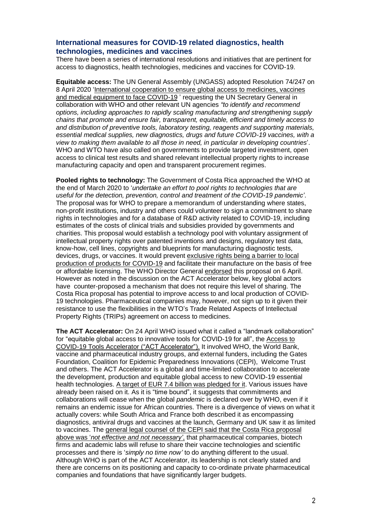## **International measures for COVID-19 related diagnostics, health technologies, medicines and vaccines**

There have been a series of international resolutions and initiatives that are pertinent for access to diagnostics, health technologies, medicines and vaccines for COVID-19.

**Equitable access:** The UN General Assembly (UNGASS) adopted Resolution 74/247 on 8 April 2020 ['International](file:///C:/Users/riazt/AppData/Local/Temp/Resolution%20A/RES/74/274%20Symbol%20A/74/L.56%2020%20Apr%202020,%20‘International%20Cooperation%20to%20Ensure%20Global%20Access%20to%20Medicines,%20Vaccines%20and%20Medical%20Equipment%20to%20Face%20COVID-19’,%20General%20Assembly%20of%20the%20United%20Nations,%2021%20April%202020,%20https:/www.un.org/pga/74/2020/04/20/international-cooperation-to-ensure-global-access-to-medicines-vaccines-and-medical-equipment-to-face-covid-19-2/) cooperation to ensure global access to medicines, vaccines and medical [equipment](file:///C:/Users/riazt/AppData/Local/Temp/Resolution%20A/RES/74/274%20Symbol%20A/74/L.56%2020%20Apr%202020,%20‘International%20Cooperation%20to%20Ensure%20Global%20Access%20to%20Medicines,%20Vaccines%20and%20Medical%20Equipment%20to%20Face%20COVID-19’,%20General%20Assembly%20of%20the%20United%20Nations,%2021%20April%202020,%20https:/www.un.org/pga/74/2020/04/20/international-cooperation-to-ensure-global-access-to-medicines-vaccines-and-medical-equipment-to-face-covid-19-2/) to face COVID-19 ' requesting the UN Secretary General in collaboration with WHO and other relevant UN agencies *"to identify and recommend options, including approaches to rapidly scaling manufacturing and strengthening supply chains that promote and ensure fair, transparent, equitable, efficient and timely access to and distribution of preventive tools, laboratory testing, reagents and supporting materials, essential medical supplies, new diagnostics, drugs and future COVID-19 vaccines, with a view to making them available to all those in need, in particular in developing countries*'. WHO and WTO have also called on governments to provide targeted investment, open access to clinical test results and shared relevant intellectual property rights to increase manufacturing capacity and open and transparent procurement regimes.

**Pooled rights to technology:** The Government of Costa Rica approached the WHO at the end of March 2020 to '*undertake an effort to pool rights to technologies that are useful for the detection, prevention, control and treatment of the COVID-19 pandemic'*. The proposal was for WHO to prepare a memorandum of understanding where states, non-profit institutions, industry and others could volunteer to sign a commitment to share rights in technologies and for a database of R&D activity related to COVID-19, including estimates of the costs of clinical trials and subsidies provided by governments and charities. This proposal would establish a technology pool with voluntary assignment of intellectual property rights over patented inventions and designs, regulatory test data, know-how, cell lines, copyrights and blueprints for manufacturing diagnostic tests, devices, drugs, or vaccines. It would prevent [exclusive](https://healthgap.org/rationale-for-supporting-costa-ricas-proposal-for-emergency-covid-19-technology-ip-pool-for-all-countries/) rights being a barrier to local [production](https://healthgap.org/rationale-for-supporting-costa-ricas-proposal-for-emergency-covid-19-technology-ip-pool-for-all-countries/) of products for COVID-19 and facilitate their manufacture on the basis of free or affordable licensing. The WHO Director General [endorsed](https://www.who.int/dg/speeches/detail/who-director-general-s-opening-remarks-at-the-media-briefing-on-covid-19---6-april-2020.) this proposal on 6 April. However as noted in the discussion on the ACT Accelerator below, key global actors have counter-proposed a mechanism that does not require this level of sharing. The Costa Rica proposal has potential to improve access to and local production of COVID-19 technologies. Pharmaceutical companies may, however, not sign up to it given their resistance to use the flexibilities in the WTO's Trade Related Aspects of Intellectual Property Rights (TRIPs) agreement on access to medicines.

**The ACT Accelerator:** On 24 April WHO issued what it called a "landmark collaboration" for "equitable global access to innovative tools for COVID-19 for all", the [Access](https://www.who.int/who-documents-detail/access-to-covid-19-tools-(act)-accelerator) to COVID-19 Tools Accelerator ("ACT [Accelerator"\).](https://www.who.int/who-documents-detail/access-to-covid-19-tools-(act)-accelerator) It involved WHO, the World Bank, vaccine and pharmaceutical industry groups, and external funders, including the Gates Foundation, Coalition for Epidemic Preparedness Innovations (CEPI), Welcome Trust and others. The ACT Accelerator is a global and time-limited collaboration to accelerate the development, production and equitable global access to new COVID-19 essential health technologies. A target of EUR 7.4 billion was [pledged](https://www.theguardian.com/world/2020/may/04/world-leaders-pledge-74bn-euros-to-research-covid-19-vaccine) for it. Various issues have already been raised on it. As it is "time bound", it suggests that commitments and collaborations will cease when the global *pandemic* is declared over by WHO, even if it remains an endemic issue for African countries. There is a divergence of views on what it actually covers: while South Africa and France both described it as encompassing diagnostics, antiviral drugs and vaccines at the launch, Germany and UK saw it as limited to vaccines. The general legal counsel of the CEPI said that the Costa Rica [proposal](https://greenworld.org.uk/article/patented-covid-19-vaccine-could-price-out-millions) above was '*not effective and not [necessary'](https://greenworld.org.uk/article/patented-covid-19-vaccine-could-price-out-millions)*, that pharmaceutical companies, biotech firms and academic labs will refuse to share their vaccine technologies and scientific processes and there is '*simply no time now'* to do anything different to the usual. Although WHO is part of the ACT Accelerator, its leadership is not clearly stated and there are concerns on its positioning and capacity to co-ordinate private pharmaceutical companies and foundations that have significantly larger budgets.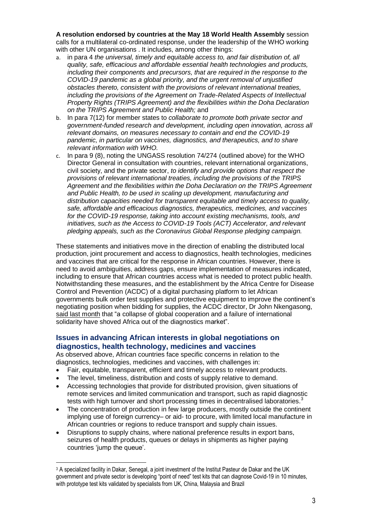**A resolution endorsed by countries at the May 18 World Health Assembly** session calls for a multilateral co-ordinated response, under the leadership of the WHO working with other UN organisations . It includes, among other things:

- a. in para 4 *the universal, timely and equitable access to, and fair distribution of, all quality, safe, efficacious and affordable essential health technologies and products, including their components and precursors, that are required in the response to the COVID-19 pandemic as a global priority, and the urgent removal of unjustified obstacles thereto, consistent with the provisions of relevant international treaties, including the provisions of the Agreement on Trade-Related Aspects of Intellectual Property Rights (TRIPS Agreement) and the flexibilities within the Doha Declaration on the TRIPS Agreement and Public Health;* and
- b. In para 7(12) for member states to *collaborate to promote both private sector and government-funded research and development, including open innovation, across all relevant domains, on measures necessary to contain and end the COVID-19 pandemic, in particular on vaccines, diagnostics, and therapeutics, and to share relevant information with WHO.*
- c. In para 9 (8), noting the UNGASS resolution 74/274 (outlined above) for the WHO Director General in consultation with countries, relevant international organizations, civil society, and the private sector, *to identify and provide options that respect the provisions of relevant international treaties, including the provisions of the TRIPS Agreement and the flexibilities within the Doha Declaration on the TRIPS Agreement and Public Health, to be used in scaling up development, manufacturing and distribution capacities needed for transparent equitable and timely access to quality, safe, affordable and efficacious diagnostics, therapeutics, medicines, and vaccines for the COVID-19 response, taking into account existing mechanisms, tools, and initiatives, such as the Access to COVID-19 Tools (ACT) Accelerator, and relevant pledging appeals, such as the Coronavirus Global Response pledging campaign.*

These statements and initiatives move in the direction of enabling the distributed local production, joint procurement and access to diagnostics, health technologies, medicines and vaccines that are critical for the response in African countries. However, there is need to avoid ambiguities, address gaps, ensure implementation of measures indicated, including to ensure that African countries access what is needed to protect public health. Notwithstanding these measures, and the establishment by the Africa Centre for Disease Control and Prevention (ACDC) of a digital purchasing platform to let African governments bulk order test supplies and protective equipment to improve the continent's negotiating position when bidding for supplies, the ACDC director, Dr John Nkengasong, said last [month](https://www.theguardian.com/global-development/2020/may/26/africa-concerned-over-lack-of-coronavirus-testing-kits) that "a collapse of global cooperation and a failure of international solidarity have shoved Africa out of the diagnostics market".

## **Issues in advancing African interests in global negotiations on diagnostics, health technology, medicines and vaccines**

As observed above, African countries face specific concerns in relation to the diagnostics, technologies, medicines and vaccines, with challenges in:

- Fair, equitable, transparent, efficient and timely access to relevant products.
- The level, timeliness, distribution and costs of supply relative to demand.
- Accessing technologies that provide for distributed provision, given situations of remote services and limited communication and transport, such as rapid diagnostic tests with high turnover and short processing times in decentralised laboratories.<sup>3</sup>
- The concentration of production in few large producers, mostly outside the continent implying use of foreign currency– or aid- to procure, with limited local manufacture in African countries or regions to reduce transport and supply chain issues.
- Disruptions to supply chains, where national preference results in export bans, seizures of health products, queues or delays in shipments as higher paying countries 'jump the queue'.

 $\overline{\phantom{a}}$ 

<sup>&</sup>lt;sup>3</sup> A specialized facility in Dakar, Senegal, a joint investment of the Institut Pasteur de Dakar and the UK government and private sector is developing "point of need" test kits that can diagnose Covid-19 in 10 minutes, with prototype test kits validated by specialists from UK, China, Malaysia and Brazil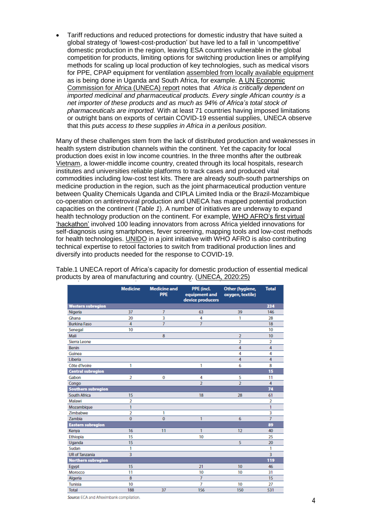Tariff reductions and reduced protections for domestic industry that have suited a global strategy of 'lowest-cost-production' but have led to a fall in 'uncompetitive' domestic production in the region, leaving ESA countries vulnerable in the global competition for products, limiting options for switching production lines or amplifying methods for scaling up local production of key technologies, such as medical visors for PPE, CPAP equipment for ventilation [assembled](https://intjem.biomedcentral.com/articles/10.1186/s12245-019-0224-0) from locally available equipment as is being done in Uganda and South Africa, for example. A UN [Economic](https://www.uneca.org/publications/covid-19-africa-protecting-lives-and-economies) [Commission](https://www.uneca.org/publications/covid-19-africa-protecting-lives-and-economies) for Africa (UNECA) report notes that *Africa is critically dependent on imported medicinal and pharmaceutical products. Every single African country is a net importer of these products and as much as 94% of Africa's total stock of pharmaceuticals are imported.* With at least 71 countries having imposed limitations or outright bans on exports of certain COVID-19 essential supplies, UNECA observe that this *puts access to these supplies in Africa in a perilous position*.

Many of these challenges stem from the lack of distributed production and weaknesses in health system distribution channels within the continent. Yet the capacity for local production does exist in low income countries. In the three months after the outbreak [Vietnam,](https://www.project-syndicate.org/commentary/vietnam-low-cost-success-against-covid19-by-hong-kong-nguyen-2020-04) a lower-middle income country, created through its local hospitals, research institutes and universities reliable platforms to track cases and produced vital commodities including low-cost test kits. There are already south-south partnerships on medicine production in the region, such as the joint pharmaceutical production venture between Quality Chemicals Uganda and CIPLA Limited India or the Brazil-Mozambique co-operation on antiretroviral production and UNECA has mapped potential production capacities on the continent (*Table 1*). A number of initiatives are underway to expand health technology production on the continent. For example, WHO [AFRO's](https://www.afro.who.int/news/who-africa-holds-first-hackathon-covid-19) first virtual ['hackathon'](https://www.afro.who.int/news/who-africa-holds-first-hackathon-covid-19) involved 100 leading innovators from across Africa yielded innovations for self-diagnosis using smartphones, fever screening, mapping tools and low-cost methods for health technologies. [UNIDO](https://www.unido.org/news/director-generals-message-member-states-unido-response-covid-19) in a joint initiative with WHO AFRO is also contributing technical expertise to retool factories to switch from traditional production lines and diversify into products needed for the response to COVID-19.

|                           | <b>Medicine</b> | <b>Medicine and</b><br><b>PPE</b> | <b>PPE</b> (incl.<br>equipment and<br>device producers | Other (hygiene,<br>oxygen, textile) | <b>Total</b>   |
|---------------------------|-----------------|-----------------------------------|--------------------------------------------------------|-------------------------------------|----------------|
| <b>Western subregion</b>  |                 |                                   |                                                        |                                     | 234            |
| Nigeria                   | 37              | 7                                 | 63                                                     | 39                                  | 146            |
| Ghana                     | 20              | 3                                 | 4                                                      | 1                                   | 28             |
| <b>Burkina Faso</b>       | 4               | $\overline{7}$                    | 7                                                      |                                     | 18             |
| Senegal                   | 10              |                                   |                                                        |                                     | 10             |
| Mali                      |                 | 8                                 |                                                        | $\overline{2}$                      | 10             |
| Sierra Leone              |                 |                                   |                                                        | $\overline{2}$                      | $\overline{2}$ |
| Benin                     |                 |                                   |                                                        | 4                                   | 4              |
| Guinea                    |                 |                                   |                                                        | 4                                   | 4              |
| Liberia                   |                 |                                   |                                                        | 4                                   | 4              |
| Côte d'Ivoire             | 1               |                                   | 1                                                      | 6                                   | 8              |
| <b>Central subregion</b>  |                 |                                   |                                                        |                                     | 15             |
| Gabon                     | 2               | 0                                 | 4                                                      | 5                                   | 11             |
| Congo                     |                 |                                   | $\overline{2}$                                         | $\overline{2}$                      | 4              |
| <b>Southern subregion</b> |                 |                                   |                                                        |                                     | 74             |
| South Africa              | 15              |                                   | 18                                                     | 28                                  | 61             |
| Malawi                    | 2               |                                   |                                                        |                                     | 2              |
| Mozambique                | 1               |                                   |                                                        |                                     | 1              |
| Zimbabwe                  | $\overline{2}$  | 1                                 |                                                        |                                     | 3              |
| Zambia                    | $\overline{0}$  | $\mathbf{0}$                      | 1                                                      | 6                                   | $\overline{7}$ |
| <b>Eastern subregion</b>  |                 |                                   |                                                        |                                     | 89             |
| Kenya                     | 16              | 11                                | 1                                                      | 12                                  | 40             |
| Ethiopia                  | 15              |                                   | 10                                                     |                                     | 25             |
| Uganda                    | 15              |                                   |                                                        | 5                                   | 20             |
| Sudan                     | 1               |                                   |                                                        |                                     | 1              |
| <b>UR of Tanzania</b>     | 3               |                                   |                                                        |                                     | 3              |
| <b>Northern subregion</b> |                 |                                   |                                                        |                                     | 119            |
| Egypt                     | 15              |                                   | 21                                                     | 10                                  | 46             |
| Morocco                   | 11              |                                   | 10                                                     | 10                                  | 31             |
| Algeria                   | 8               |                                   | $\overline{7}$                                         |                                     | 15             |
| <b>Tunisia</b>            | 10              |                                   | 7                                                      | 10                                  | 27             |
| <b>Total</b>              | 188             | 37                                | 156                                                    | 150                                 | 531            |

Table.1 UNECA report of Africa's capacity for domestic production of essential medical products by area of manufacturing and country. [\(UNECA,](https://www.uneca.org/publications/covid-19-africa-protecting-lives-and-economies) 2020:25)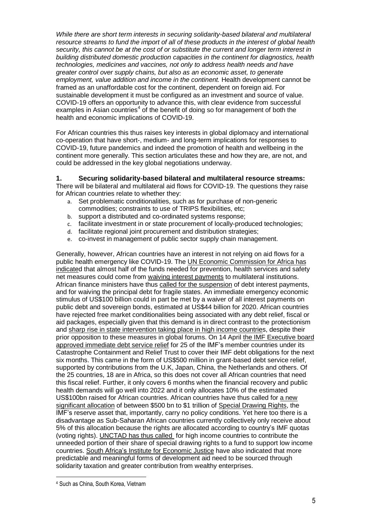*While there are short term interests in securing solidarity-based bilateral and multilateral resource streams to fund the import of all of these products in the interest of global health security, this cannot be at the cost of or substitute the current and longer term interest in building distributed domestic production capacities in the continent for diagnostics, health technologies, medicines and vaccines, not only to address health needs and have greater control over supply chains, but also as an economic asset, to generate employment, value addition and income in the continent.* Health development cannot be framed as an unaffordable cost for the continent, dependent on foreign aid. For sustainable development it must be configured as an investment and source of value. COVID-19 offers an opportunity to advance this, with clear evidence from successful examples in Asian countries<sup>4</sup> of the benefit of doing so for management of both the health and economic implications of COVID-19.

For African countries this thus raises key interests in global diplomacy and international co-operation that have short-, medium- and long-term implications for responses to COVID-19, future pandemics and indeed the promotion of health and wellbeing in the continent more generally. This section articulates these and how they are, are not, and could be addressed in the key global negotiations underway.

#### **1. Securing solidarity-based bilateral and multilateral resource streams:**

There will be bilateral and multilateral aid flows for COVID-19. The questions they raise for African countries relate to whether they:

- a. Set problematic conditionalities, such as for purchase of non-generic commodities; constraints to use of TRIPS flexibilities, etc;
- b. support a distributed and co-ordinated systems response;
- c. facilitate investment in or state procurement of locally-produced technologies;
- d. facilitate regional joint procurement and distribution strategies;
- e. co-invest in management of public sector supply chain management.

Generally, however, African countries have an interest in not relying on aid flows for a public health emergency like COVID-19. The UN Economic [Commission](https://www.bloomberg.com/news/articles/2020-03-29/africa-is-two-to-three-weeks-away-from-height-of-virus-storm) for Africa has [indicated](https://www.bloomberg.com/news/articles/2020-03-29/africa-is-two-to-three-weeks-away-from-height-of-virus-storm) that almost half of the funds needed for prevention, health services and safety net measures could come from waiving interest [payments](https://www.bloomberg.com/news/articles/2020-03-23/africa-needs-waiver-on-44-billion-interest-bill-to-combat-virus) to multilateral institutions. African finance ministers have thus called for the [suspension](https://www.uneca.org/stories/african-finance-ministers-call-coordinated-covid-19-response-mitigate-adverse-impact) of debt interest payments, and for waiving the principal debt for fragile states. An immediate emergency economic stimulus of US\$100 billion could in part be met by a waiver of all interest payments on public debt and sovereign bonds, estimated at US\$44 billion for 2020. African countries have rejected free market conditionalities being associated with any debt relief, fiscal or aid packages, especially given that this demand is in direct contrast to the protectionism and sharp rise in state [intervention](https://www.odi.org/) taking place in high income countries, despite their prior opposition to these measures in global forums. On 14 April the IMF [Executive](https://www.imf.org/en/News/Articles/2020/04/13/pr20151-imf-executive-board-approves-immediate-debt-relief-for-25-countries?fbclid=IwAR2iD1xlbPFaxLgZz2GElwnI-o4mWXlqRRLD7UBX7-FgFP5Ut-dIg5H3B3A) board approved [immediate](https://www.imf.org/en/News/Articles/2020/04/13/pr20151-imf-executive-board-approves-immediate-debt-relief-for-25-countries?fbclid=IwAR2iD1xlbPFaxLgZz2GElwnI-o4mWXlqRRLD7UBX7-FgFP5Ut-dIg5H3B3A) debt service relief for 25 of the IMF's member countries under its Catastrophe Containment and Relief Trust to cover their IMF debt obligations for the next six months. This came in the form of US\$500 million in grant-based debt service relief, supported by contributions from the U.K, Japan, China, the Netherlands and others. Of the 25 countries, 18 are in Africa, so this does not cover all African countries that need this fiscal relief. Further, it only covers 6 months when the financial recovery and public health demands will go well into 2022 and it only allocates 10% of the estimated US\$100bn raised for African countries. African countries have thus called for a [new](https://unctad.org/en/PublicationsLibrary/gds_tdr2019_covid2_en.pdf) [significant](https://unctad.org/en/PublicationsLibrary/gds_tdr2019_covid2_en.pdf) allocation of between \$500 bn to \$1 trillion of Special [Drawing](https://www.imf.org/en/About/Factsheets/Sheets/2016/08/01/14/51/Special-Drawing-Right-SDR) Rights, the IMF's reserve asset that, importantly, carry no policy conditions. Yet here too there is a disadvantage as Sub-Saharan African countries currently collectively only receive about 5% of this allocation because the rights are allocated according to country's IMF quotas (voting rights). [UNCTAD](https://unctad.org/en/pages/newsdetails.aspx?OriginalVersionID=2315) has thus called for high income countries to contribute the unneeded portion of their share of special drawing rights to a fund to support low income countries. South Africa's Institute for [Economic](https://www.dailymaverick.co.za/article/2020-03-23-sweeping-economic-interventions-called-for-in-sa-amid-coronavirus-pandemic/) Justice have also indicated that more predictable and meaningful forms of development aid need to be sourced through solidarity taxation and greater contribution from wealthy enterprises.

 $\overline{\phantom{a}}$ 

<sup>4</sup> Such as China, South Korea, Vietnam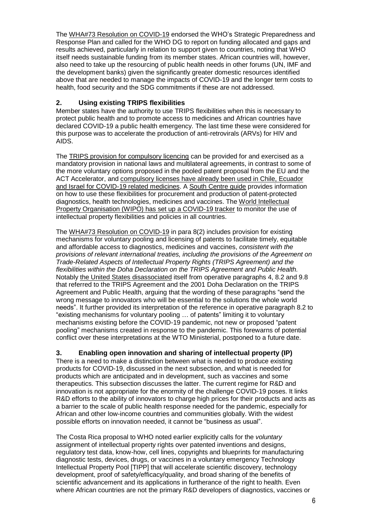The WHA#73 [Resolution](https://apps.who.int/gb/ebwha/pdf_files/WHA73/A73_R1-en.pdf) on COVID-19 endorsed the WHO's Strategic Preparedness and Response Plan and called for the WHO DG to report on funding allocated and gaps and results achieved, particularly in relation to support given to countries, noting that WHO itself needs sustainable funding from its member states. African countries will, however, also need to take up the resourcing of public health needs in other forums (UN, IMF and the development banks) given the significantly greater domestic resources identified above that are needed to manage the impacts of COVID-19 and the longer term costs to health, food security and the SDG commitments if these are not addressed.

# **2. Using existing TRIPS flexibilities**

Member states have the authority to use TRIPS flexibilities when this is necessary to protect public health and to promote access to medicines and African countries have declared COVID-19 a public health emergency. The last time these were considered for this purpose was to accelerate the production of anti-retrovirals (ARVs) for HIV and AIDS.

The TRIPS provision for [compulsory](https://www.wto.org/english/thewto_e/minist_e/min01_e/mindecl_trips_e.htm.) licencing can be provided for and exercised as a mandatory provision in national laws and multilateral agreements, in contrast to some of the more voluntary options proposed in the pooled patent proposal from the EU and the ACT Accelerator, and [compulsory](https://www.twn.my/title2/intellectual_property/info.service/2020/ip200303.htm) licenses have already been used in Chile, Ecuador and Israel for COVID-19 related [medicines.](https://www.twn.my/title2/intellectual_property/info.service/2020/ip200303.htm) A South [Centre](https://www.southcentre.int/wp-content/uploads/2020/04/RP-107.pdf) guide provides information on how to use these flexibilities for procurement and production of patent-protected diagnostics, health technologies, medicines and vaccines. The World [Intellectual](https://www.wipo.int/covid19-policy-tracker/#/covid19-policy-tracker/access) Property [Organisation](https://www.wipo.int/covid19-policy-tracker/#/covid19-policy-tracker/access) (WIPO) has set up a COVID-19 tracker to monitor the use of intellectual property flexibilities and policies in all countries.

The WHA#73 [Resolution](https://apps.who.int/gb/ebwha/pdf_files/WHA73/A73_R1-en.pdf) on COVID-19 in para 8(2) includes provision for existing mechanisms for voluntary pooling and licensing of patents to facilitate timely, equitable and affordable access to diagnostics, medicines and vaccines, *consistent with the provisions of relevant international treaties, including the provisions of the Agreement on Trade-Related Aspects of Intellectual Property Rights (TRIPS Agreement) and the flexibilities within the Doha Declaration on the TRIPS Agreement and Public Health.* Notably the United States [disassociated](https://apps.who.int/gb/statements/WHA73/PDF/United_States_of_America2.pdf) itself from operative paragraphs 4, 8.2 and 9.8 that referred to the TRIPS Agreement and the 2001 Doha Declaration on the TRIPS Agreement and Public Health, arguing that the wording of these paragraphs "send the wrong message to innovators who will be essential to the solutions the whole world needs". It further provided its interpretation of the reference in operative paragraph 8.2 to "existing mechanisms for voluntary pooling … of patents" limiting it to voluntary mechanisms existing before the COVID-19 pandemic, not new or proposed "patent pooling" mechanisms created in response to the pandemic. This forewarns of potential conflict over these interpretations at the WTO Ministerial, postponed to a future date.

## **3. Enabling open innovation and sharing of intellectual property (IP)**

There is a need to make a distinction between what is needed to produce existing products for COVID-19, discussed in the next subsection, and what is needed for products which are anticipated and in development, such as vaccines and some therapeutics. This subsection discusses the latter. The current regime for R&D and innovation is not appropriate for the enormity of the challenge COVID-19 poses. It links R&D efforts to the ability of innovators to charge high prices for their products and acts as a barrier to the scale of public health response needed for the pandemic, especially for African and other low-income countries and communities globally. With the widest possible efforts on innovation needed, it cannot be "business as usual".

The Costa Rica proposal to WHO noted earlier explicitly calls for the *voluntary* assignment of intellectual property rights over patented inventions and designs, regulatory test data, know-how, cell lines, copyrights and blueprints for manufacturing diagnostic tests, devices, drugs, or vaccines in a voluntary emergency Technology Intellectual Property Pool [TIPP] that will accelerate scientific discovery, technology development, proof of safety/efficacy/quality, and broad sharing of the benefits of scientific advancement and its applications in furtherance of the right to health. Even where African countries are not the primary R&D developers of diagnostics, vaccines or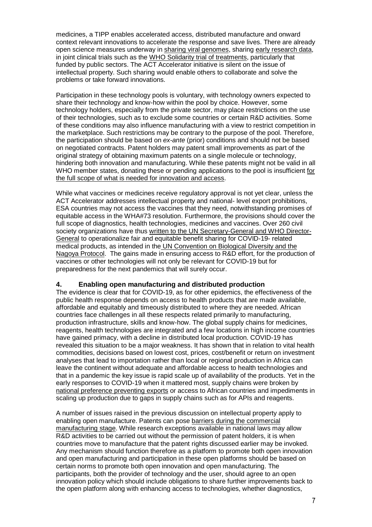medicines, a TIPP enables accelerated access, distributed manufacture and onward context relevant innovations to accelerate the response and save lives. There are already open science measures underway in sharing viral [genomes,](https://www.sciencedaily.com/releases/2020/01/200131114748.htm) sharing early [research](https://www.who.int/bulletin/volumes/98/3/20-251561.pdf) data, in joint clinical trials such as the WHO Solidarity trial of [treatments,](https://www.sciencemag.org/news/2020/03/who-launches-global-megatrial-four-most-promising-coronavirus-treatments) particularly that funded by public sectors. The ACT Accelerator initiative is silent on the issue of intellectual property. Such sharing would enable others to collaborate and solve the problems or take forward innovations.

Participation in these technology pools is voluntary, with technology owners expected to share their technology and know-how within the pool by choice. However, some technology holders, especially from the private sector, may place restrictions on the use of their technologies, such as to exclude some countries or certain R&D activities. Some of these conditions may also influence manufacturing with a view to restrict competition in the marketplace. Such restrictions may be contrary to the purpose of the pool. Therefore, the participation should be based on *ex-ante* (prior) conditions and should not be based on negotiated contracts. Patent holders may patent small improvements as part of the original strategy of obtaining maximum patents on a single molecule or technology, hindering both innovation and manufacturing. While these patents might not be valid in all WHO member states, donating these or pending applications to the pool is insufficient [for](https://medicineslawandpolicy.org/2020/05/the-e-7-4-billion-for-covid-19-product-and-vaccine-development-needs-a-few-strings-attached/) the full scope of what is needed for [innovation](https://medicineslawandpolicy.org/2020/05/the-e-7-4-billion-for-covid-19-product-and-vaccine-development-needs-a-few-strings-attached/) and access.

While what vaccines or medicines receive regulatory approval is not yet clear, unless the ACT Accelerator addresses intellectual property and national- level export prohibitions, ESA countries may not access the vaccines that they need, notwithstanding promises of equitable access in the WHA#73 resolution. Furthermore, the provisions should cover the full scope of diagnostics, health technologies, medicines and vaccines. Over 260 civil society organizations have thus written to the UN [Secretary-General](https://www.twn.my/title2/health.info/2020/hi200423.htm) and WHO Director-[General](https://www.twn.my/title2/health.info/2020/hi200423.htm) to operationalize fair and equitable benefit sharing for COVID-19- related medical products, as intended in the UN [Convention](https://www.cbd.int/abs/) on Biological Diversity and the Nagoya [Protocol.](https://www.cbd.int/abs/) The gains made in ensuring access to R&D effort, for the production of vaccines or other technologies will not only be relevant for COVID-19 but for preparedness for the next pandemics that will surely occur.

#### **4. Enabling open manufacturing and distributed production**

The evidence is clear that for COVID-19, as for other epidemics, the effectiveness of the public health response depends on access to health products that are made available, affordable and equitably and timeously distributed to where they are needed. African countries face challenges in all these respects related primarily to manufacturing, production infrastructure, skills and know-how. The global supply chains for medicines, reagents, health technologies are integrated and a few locations in high income countries have gained primacy, with a decline in distributed local production. COVID-19 has revealed this situation to be a major weakness. It has shown that in relation to vital health commodities, decisions based on lowest cost, prices, cost/benefit or return on investment analyses that lead to importation rather than local or regional production in Africa can leave the continent without adequate and affordable access to health technologies and that in a pandemic the key issue is rapid scale up of availability of the products. Yet in the early responses to COVID-19 when it mattered most, supply chains were broken by national [preference](https://www.wto.org/english/tratop_e/covid19_e/trade_related_goods_measure_e.htm;%20and%20‘WTO%20COVID-19:%20Measures%20Affecting%20Trade%20in%20Services) preventing exports or access to African countries and impediments in scaling up production due to gaps in supply chains such as for APIs and reagents.

A number of issues raised in the previous discussion on intellectual property apply to enabling open manufacture. Patents can pose barriers during the [commercial](https://msfaccess.org/research-references-diagnostics-intellectual-property-and-market-monopoly-landscape) [manufacturing](https://msfaccess.org/research-references-diagnostics-intellectual-property-and-market-monopoly-landscape) stage. While research exceptions available in national laws may allow R&D activities to be carried out without the permission of patent holders, it is when countries move to manufacture that the patent rights discussed earlier may be invoked. Any mechanism should function therefore as a platform to promote both open innovation and open manufacturing and participation in these open platforms should be based on certain norms to promote both open innovation and open manufacturing. The participants, both the provider of technology and the user, should agree to an open innovation policy which should include obligations to share further improvements back to the open platform along with enhancing access to technologies, whether diagnostics,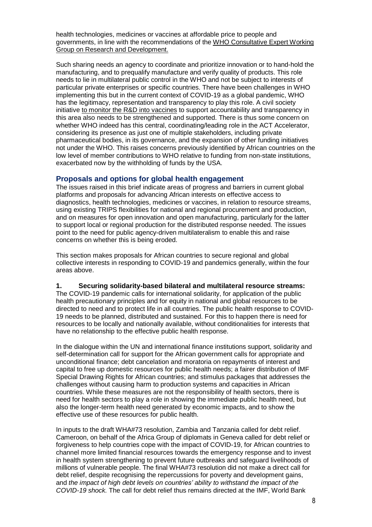health technologies, medicines or vaccines at affordable price to people and governments, in line with the recommendations of the WHO [Consultative](http://www.who.int/phi/cewg_report/en/) Expert Working Group on Research and [Development.](http://www.who.int/phi/cewg_report/en/)

Such sharing needs an agency to coordinate and prioritize innovation or to hand-hold the manufacturing, and to prequalify manufacture and verify quality of products. This role needs to lie in multilateral public control in the WHO and not be subject to interests of particular private enterprises or specific countries. There have been challenges in WHO implementing this but in the current context of COVID-19 as a global pandemic, WHO has the legitimacy, representation and transparency to play this role. A civil society initiative to monitor the R&D into [vaccines](https://www.twn.my/title2/health.info/2020/hi200504.htm) to support accountability and transparency in this area also needs to be strengthened and supported. There is thus some concern on whether WHO indeed has this central, coordinating/leading role in the ACT Accelerator, considering its presence as just one of multiple stakeholders, including private pharmaceutical bodies, in its governance, and the expansion of other funding initiatives not under the WHO. This raises concerns previously identified by African countries on the low level of member contributions to WHO relative to funding from non-state institutions, exacerbated now by the withholding of funds by the USA.

#### **Proposals and options for global health engagement**

The issues raised in this brief indicate areas of progress and barriers in current global platforms and proposals for advancing African interests on effective access to diagnostics, health technologies, medicines or vaccines, in relation to resource streams, using existing TRIPS flexibilities for national and regional procurement and production, and on measures for open innovation and open manufacturing, particularly for the latter to support local or regional production for the distributed response needed. The issues point to the need for public agency-driven multilateralism to enable this and raise concerns on whether this is being eroded.

This section makes proposals for African countries to secure regional and global collective interests in responding to COVID-19 and pandemics generally, within the four areas above.

#### **1. Securing solidarity-based bilateral and multilateral resource streams:**

The COVID-19 pandemic calls for international solidarity, for application of the public health precautionary principles and for equity in national and global resources to be directed to need and to protect life in all countries. The public health response to COVID-19 needs to be planned, distributed and sustained. For this to happen there is need for resources to be locally and nationally available, without conditionalities for interests that have no relationship to the effective public health response.

In the dialogue within the UN and international finance institutions support, solidarity and self-determination call for support for the African government calls for appropriate and unconditional finance; debt cancelation and moratoria on repayments of interest and capital to free up domestic resources for public health needs; a fairer distribution of IMF Special Drawing Rights for African countries; and stimulus packages that addresses the challenges without causing harm to production systems and capacities in African countries. While these measures are not the responsibility of health sectors, there is need for health sectors to play a role in showing the immediate public health need, but also the longer-term health need generated by economic impacts, and to show the effective use of these resources for public health.

In inputs to the draft WHA#73 resolution, Zambia and Tanzania called for debt relief. Cameroon, on behalf of the Africa Group of diplomats in Geneva called for debt relief or forgiveness to help countries cope with the impact of COVID-19, for African countries to channel more limited financial resources towards the emergency response and to invest in health system strengthening to prevent future outbreaks and safeguard livelihoods of millions of vulnerable people. The final WHA#73 resolution did not make a direct call for debt relief, despite recognising the repercussions for poverty and development gains, and *the impact of high debt levels on countries' ability to withstand the impact of the COVID-19 shock.* The call for debt relief thus remains directed at the IMF, World Bank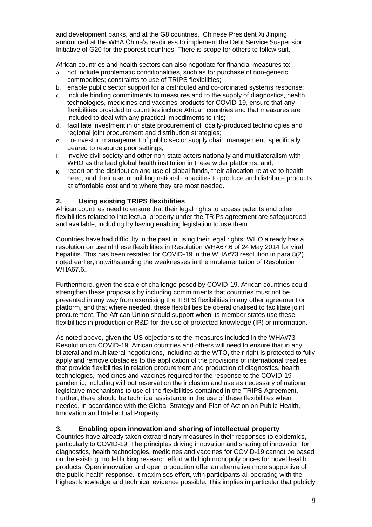and development banks, and at the G8 countries. Chinese President Xi Jinping announced at the WHA China's readiness to implement the Debt Service Suspension Initiative of G20 for the poorest countries. There is scope for others to follow suit.

African countries and health sectors can also negotiate for financial measures to:

- a. not include problematic conditionalities, such as for purchase of non-generic commodities; constraints to use of TRIPS flexibilities;
- b. enable public sector support for a distributed and co-ordinated systems response;
- c. include binding commitments to measures and to the supply of diagnostics, health technologies, medicines and vaccines products for COVID-19, ensure that any flexibilities provided to countries include African countries and that measures are included to deal with any practical impediments to this;
- d. facilitate investment in or state procurement of locally-produced technologies and regional joint procurement and distribution strategies;
- e. co-invest in management of public sector supply chain management, specifically geared to resource poor settings;
- f. involve civil society and other non-state actors nationally and multilateralism with WHO as the lead global health institution in these wider platforms; and,
- g. report on the distribution and use of global funds, their allocation relative to health need; and their use in building national capacities to produce and distribute products at affordable cost and to where they are most needed.

## **2. Using existing TRIPS flexibilities**

African countries need to ensure that their legal rights to access patents and other flexibilities related to intellectual property under the TRIPs agreement are safeguarded and available, including by having enabling legislation to use them.

Countries have had difficulty in the past in using their legal rights. WHO already has a resolution on use of these flexibilities in Resolution WHA67.6 of 24 May 2014 for viral hepatitis. This has been restated for COVID-19 in the WHA#73 resolution in para 8(2) noted earlier, notwithstanding the weaknesses in the implementation of Resolution WHA67.6..

Furthermore, given the scale of challenge posed by COVID-19, African countries could strengthen these proposals by including commitments that countries must not be prevented in any way from exercising the TRIPS flexibilities in any other agreement or platform, and that where needed, these flexibilities be operationalised to facilitate joint procurement. The African Union should support when its member states use these flexibilities in production or R&D for the use of protected knowledge (IP) or information.

As noted above, given the US objections to the measures included in the WHA#73 Resolution on COVID-19, African countries and others will need to ensure that in any bilateral and multilateral negotiations, including at the WTO, their right is protected to fully apply and remove obstacles to the application of the provisions of international treaties that provide flexibilities in relation procurement and production of diagnostics, health technologies, medicines and vaccines required for the response to the COVID-19 pandemic, including without reservation the inclusion and use as necessary of national legislative mechanisms to use of the flexibilities contained in the TRIPS Agreement. Further, there should be technical assistance in the use of these flexibilities when needed, in accordance with the Global Strategy and Plan of Action on Public Health, Innovation and Intellectual Property.

#### **3. Enabling open innovation and sharing of intellectual property**

Countries have already taken extraordinary measures in their responses to epidemics, particularly to COVID-19. The principles driving innovation and sharing of innovation for diagnostics, health technologies, medicines and vaccines for COVID-19 cannot be based on the existing model linking research effort with high monopoly prices for novel health products. Open innovation and open production offer an alternative more supportive of the public health response. It maximises effort, with participants all operating with the highest knowledge and technical evidence possible. This implies in particular that publicly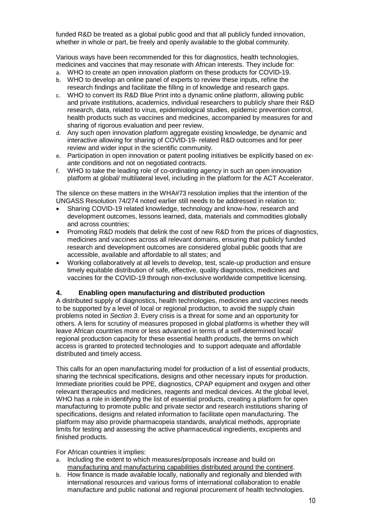funded R&D be treated as a global public good and that all publicly funded innovation, whether in whole or part, be freely and openly available to the global community.

Various ways have been recommended for this for diagnostics, health technologies, medicines and vaccines that may resonate with African interests. They include for:

- a. WHO to create an open innovation platform on these products for COVID-19.
- b. WHO to develop an online panel of experts to review these inputs, refine the research findings and facilitate the filling in of knowledge and research gaps.
- c. WHO to convert its R&D Blue Print into a dynamic online platform, allowing public and private institutions, academics, individual researchers to publicly share their R&D research, data, related to virus, epidemiological studies, epidemic prevention control, health products such as vaccines and medicines, accompanied by measures for and sharing of rigorous evaluation and peer review.
- d. Any such open innovation platform aggregate existing knowledge, be dynamic and interactive allowing for sharing of COVID-19- related R&D outcomes and for peer review and wider input in the scientific community.
- e. Participation in open innovation or patent pooling initiatives be explicitly based on *exante* conditions and not on negotiated contracts.
- f. WHO to take the leading role of co-ordinating agency in such an open innovation platform at global/ multilateral level, including in the platform for the ACT Accelerator.

The silence on these matters in the WHA#73 resolution implies that the intention of the UNGASS Resolution 74/274 noted earlier still needs to be addressed in relation to:

- Sharing COVID-19 related knowledge, technology and know-how, research and development outcomes, lessons learned, data, materials and commodities globally and across countries;
- Promoting R&D models that delink the cost of new R&D from the prices of diagnostics, medicines and vaccines across all relevant domains, ensuring that publicly funded research and development outcomes are considered global public goods that are accessible, available and affordable to all states; and
- Working collaboratively at all levels to develop, test, scale-up production and ensure timely equitable distribution of safe, effective, quality diagnostics, medicines and vaccines for the COVID-19 through non-exclusive worldwide competitive licensing.

#### **4. Enabling open manufacturing and distributed production**

A distributed supply of diagnostics, health technologies, medicines and vaccines needs to be supported by a level of local or regional production, to avoid the supply chain problems noted in *Section 3*. Every crisis is a threat for some and an opportunity for others. A lens for scrutiny of measures proposed in global platforms is whether they will leave African countries more or less advanced in terms of a self-determined local/ regional production capacity for these essential health products, the terms on which access is granted to protected technologies and to support adequate and affordable distributed and timely access.

This calls for an open manufacturing model for production of a list of essential products, sharing the technical specifications, designs and other necessary inputs for production. Immediate priorities could be PPE, diagnostics, CPAP equipment and oxygen and other relevant therapeutics and medicines, reagents and medical devices. At the global level, WHO has a role in identifying the list of essential products, creating a platform for open manufacturing to promote public and private sector and research institutions sharing of specifications, designs and related information to facilitate open manufacturing. The platform may also provide pharmacopeia standards, analytical methods, appropriate limits for testing and assessing the active pharmaceutical ingredients, excipients and finished products.

For African countries it implies:

- a. Including the extent to which measures/proposals increase and build on manufacturing and [manufacturing](https://www.mckinsey.com/industries/public-sector/our-insights/should-sub-saharan-africa-make-its-own-drugs) capabilities distributed around the continent.
- b. How finance is made available locally, nationally and regionally and blended with international resources and various forms of international collaboration to enable manufacture and public national and regional procurement of health technologies.